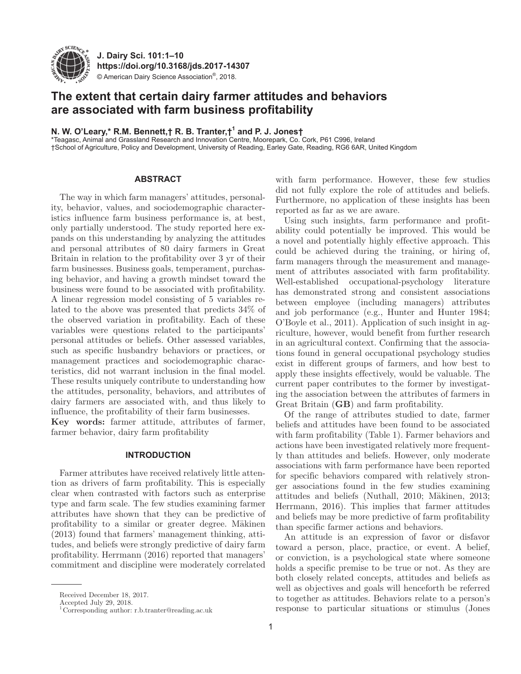

**J. Dairy Sci. 101:1–10 https://doi.org/10.3168/jds.2017-14307** © American Dairy Science Association®, 2018.

# **The extent that certain dairy farmer attitudes and behaviors are associated with farm business profitability**

**N. W. O'Leary,\* R.M. Bennett,† R. B. Tranter,†<sup>1</sup> and P. J. Jones†**

\*Teagasc, Animal and Grassland Research and Innovation Centre, Moorepark, Co. Cork, P61 C996, Ireland †School of Agriculture, Policy and Development, University of Reading, Earley Gate, Reading, RG6 6AR, United Kingdom

## **ABSTRACT**

The way in which farm managers' attitudes, personality, behavior, values, and sociodemographic characteristics influence farm business performance is, at best, only partially understood. The study reported here expands on this understanding by analyzing the attitudes and personal attributes of 80 dairy farmers in Great Britain in relation to the profitability over 3 yr of their farm businesses. Business goals, temperament, purchasing behavior, and having a growth mindset toward the business were found to be associated with profitability. A linear regression model consisting of 5 variables related to the above was presented that predicts 34% of the observed variation in profitability. Each of these variables were questions related to the participants' personal attitudes or beliefs. Other assessed variables, such as specific husbandry behaviors or practices, or management practices and sociodemographic characteristics, did not warrant inclusion in the final model. These results uniquely contribute to understanding how the attitudes, personality, behaviors, and attributes of dairy farmers are associated with, and thus likely to influence, the profitability of their farm businesses.

**Key words:** farmer attitude, attributes of farmer, farmer behavior, dairy farm profitability

# **INTRODUCTION**

Farmer attributes have received relatively little attention as drivers of farm profitability. This is especially clear when contrasted with factors such as enterprise type and farm scale. The few studies examining farmer attributes have shown that they can be predictive of profitability to a similar or greater degree. Mäkinen (2013) found that farmers' management thinking, attitudes, and beliefs were strongly predictive of dairy farm profitability. Herrmann (2016) reported that managers' commitment and discipline were moderately correlated with farm performance. However, these few studies did not fully explore the role of attitudes and beliefs. Furthermore, no application of these insights has been reported as far as we are aware.

Using such insights, farm performance and profitability could potentially be improved. This would be a novel and potentially highly effective approach. This could be achieved during the training, or hiring of, farm managers through the measurement and management of attributes associated with farm profitability. Well-established occupational-psychology literature has demonstrated strong and consistent associations between employee (including managers) attributes and job performance (e.g., Hunter and Hunter 1984; O'Boyle et al., 2011). Application of such insight in agriculture, however, would benefit from further research in an agricultural context. Confirming that the associations found in general occupational psychology studies exist in different groups of farmers, and how best to apply these insights effectively, would be valuable. The current paper contributes to the former by investigating the association between the attributes of farmers in Great Britain (**GB**) and farm profitability.

Of the range of attributes studied to date, farmer beliefs and attitudes have been found to be associated with farm profitability (Table 1). Farmer behaviors and actions have been investigated relatively more frequently than attitudes and beliefs. However, only moderate associations with farm performance have been reported for specific behaviors compared with relatively stronger associations found in the few studies examining attitudes and beliefs (Nuthall, 2010; Mäkinen, 2013; Herrmann, 2016). This implies that farmer attitudes and beliefs may be more predictive of farm profitability than specific farmer actions and behaviors.

An attitude is an expression of favor or disfavor toward a person, place, practice, or event. A belief, or conviction, is a psychological state where someone holds a specific premise to be true or not. As they are both closely related concepts, attitudes and beliefs as well as objectives and goals will henceforth be referred to together as attitudes. Behaviors relate to a person's response to particular situations or stimulus (Jones

Received December 18, 2017.

Accepted July 29, 2018.

<sup>1</sup> Corresponding author: r.b.tranter@reading.ac.uk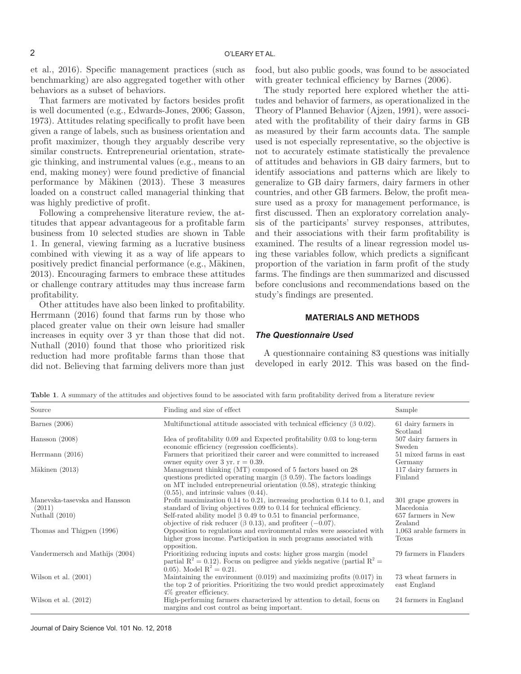et al., 2016). Specific management practices (such as benchmarking) are also aggregated together with other behaviors as a subset of behaviors.

That farmers are motivated by factors besides profit is well documented (e.g., Edwards-Jones, 2006; Gasson, 1973). Attitudes relating specifically to profit have been given a range of labels, such as business orientation and profit maximizer, though they arguably describe very similar constructs. Entrepreneurial orientation, strategic thinking, and instrumental values (e.g., means to an end, making money) were found predictive of financial performance by Mäkinen (2013). These 3 measures loaded on a construct called managerial thinking that was highly predictive of profit.

Following a comprehensive literature review, the attitudes that appear advantageous for a profitable farm business from 10 selected studies are shown in Table 1. In general, viewing farming as a lucrative business combined with viewing it as a way of life appears to positively predict financial performance (e.g., Mäkinen, 2013). Encouraging farmers to embrace these attitudes or challenge contrary attitudes may thus increase farm profitability.

Other attitudes have also been linked to profitability. Herrmann (2016) found that farms run by those who placed greater value on their own leisure had smaller increases in equity over 3 yr than those that did not. Nuthall (2010) found that those who prioritized risk reduction had more profitable farms than those that did not. Believing that farming delivers more than just food, but also public goods, was found to be associated with greater technical efficiency by Barnes (2006).

The study reported here explored whether the attitudes and behavior of farmers, as operationalized in the Theory of Planned Behavior (Ajzen, 1991), were associated with the profitability of their dairy farms in GB as measured by their farm accounts data. The sample used is not especially representative, so the objective is not to accurately estimate statistically the prevalence of attitudes and behaviors in GB dairy farmers, but to identify associations and patterns which are likely to generalize to GB dairy farmers, dairy farmers in other countries, and other GB farmers. Below, the profit measure used as a proxy for management performance, is first discussed. Then an exploratory correlation analysis of the participants' survey responses, attributes, and their associations with their farm profitability is examined. The results of a linear regression model using these variables follow, which predicts a significant proportion of the variation in farm profit of the study farms. The findings are then summarized and discussed before conclusions and recommendations based on the study's findings are presented.

## **MATERIALS AND METHODS**

#### *The Questionnaire Used*

A questionnaire containing 83 questions was initially developed in early 2012. This was based on the find-

**Table 1**. A summary of the attitudes and objectives found to be associated with farm profitability derived from a literature review

| Source                                  | Finding and size of effect.                                                                                                                                                                                                                                     | Sample                              |
|-----------------------------------------|-----------------------------------------------------------------------------------------------------------------------------------------------------------------------------------------------------------------------------------------------------------------|-------------------------------------|
| Barnes $(2006)$                         | Multifunctional attitude associated with technical efficiency $(6 0.02)$ .                                                                                                                                                                                      | 61 dairy farmers in<br>Scotland     |
| Hansson $(2008)$                        | Idea of profitability 0.09 and Expected profitability 0.03 to long-term<br>economic efficiency (regression coefficients).                                                                                                                                       | 507 dairy farmers in<br>Sweden      |
| Herrmann $(2016)$                       | Farmers that prioritized their career and were committed to increased<br>owner equity over 3 yr. $r = 0.39$ .                                                                                                                                                   | 51 mixed farms in east<br>Germany   |
| Mäkinen $(2013)$                        | Management thinking (MT) composed of 5 factors based on 28<br>questions predicted operating margin $(\beta 0.59)$ . The factors loadings<br>on MT included entrepreneurial orientation (0.58), strategic thinking<br>$(0.55)$ , and intrinsic values $(0.44)$ . | 117 dairy farmers in<br>Finland     |
| Maneyska-taseyska and Hansson<br>(2011) | Profit maximization 0.14 to 0.21, increasing production 0.14 to 0.1, and<br>standard of living objectives 0.09 to 0.14 for technical efficiency.                                                                                                                | 301 grape growers in<br>Macedonia   |
| Nuthall $(2010)$                        | Self-rated ability model $\beta$ 0.49 to 0.51 to financial performance,<br>objective of risk reducer ( $\beta$ 0.13), and profiteer (-0.07).                                                                                                                    | 657 farmers in New<br>Zealand       |
| Thomas and Thigpen (1996)               | Opposition to regulations and environmental rules were associated with<br>higher gross income. Participation in such programs associated with<br>opposition.                                                                                                    | $1,063$ arable farmers in<br>Texas  |
| Vandermersch and Mathijs (2004)         | Prioritizing reducing inputs and costs: higher gross margin (model)<br>partial $R^2 = 0.12$ ). Focus on pedigree and yields negative (partial $R^2 =$<br>0.05). Model $R^2 = 0.21$ .                                                                            | 79 farmers in Flanders              |
| Wilson et al. $(2001)$                  | Maintaining the environment $(0.019)$ and maximizing profits $(0.017)$ in<br>the top 2 of priorities. Prioritizing the two would predict approximately<br>4\% greater efficiency.                                                                               | 73 wheat farmers in<br>east England |
| Wilson et al. $(2012)$                  | High-performing farmers characterized by attention to detail, focus on<br>margins and cost control as being important.                                                                                                                                          | 24 farmers in England               |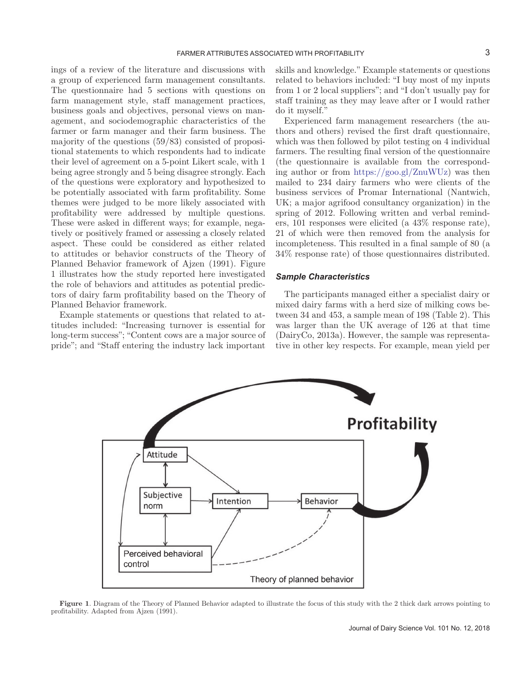ings of a review of the literature and discussions with a group of experienced farm management consultants. The questionnaire had 5 sections with questions on farm management style, staff management practices, business goals and objectives, personal views on management, and sociodemographic characteristics of the farmer or farm manager and their farm business. The majority of the questions (59/83) consisted of propositional statements to which respondents had to indicate their level of agreement on a 5-point Likert scale, with 1 being agree strongly and 5 being disagree strongly. Each of the questions were exploratory and hypothesized to be potentially associated with farm profitability. Some themes were judged to be more likely associated with profitability were addressed by multiple questions. These were asked in different ways; for example, negatively or positively framed or assessing a closely related aspect. These could be considered as either related to attitudes or behavior constructs of the Theory of Planned Behavior framework of Ajzen (1991). Figure 1 illustrates how the study reported here investigated the role of behaviors and attitudes as potential predictors of dairy farm profitability based on the Theory of Planned Behavior framework.

Example statements or questions that related to attitudes included: "Increasing turnover is essential for long-term success"; "Content cows are a major source of pride"; and "Staff entering the industry lack important

skills and knowledge." Example statements or questions related to behaviors included: "I buy most of my inputs from 1 or 2 local suppliers"; and "I don't usually pay for staff training as they may leave after or I would rather do it myself."

Experienced farm management researchers (the authors and others) revised the first draft questionnaire, which was then followed by pilot testing on 4 individual farmers. The resulting final version of the questionnaire (the questionnaire is available from the corresponding author or from <https://goo.gl/ZnuWUz>) was then mailed to 234 dairy farmers who were clients of the business services of Promar International (Nantwich, UK; a major agrifood consultancy organization) in the spring of 2012. Following written and verbal reminders, 101 responses were elicited (a 43% response rate), 21 of which were then removed from the analysis for incompleteness. This resulted in a final sample of 80 (a 34% response rate) of those questionnaires distributed.

## *Sample Characteristics*

The participants managed either a specialist dairy or mixed dairy farms with a herd size of milking cows between 34 and 453, a sample mean of 198 (Table 2). This was larger than the UK average of 126 at that time (DairyCo, 2013a). However, the sample was representative in other key respects. For example, mean yield per



**Figure 1**. Diagram of the Theory of Planned Behavior adapted to illustrate the focus of this study with the 2 thick dark arrows pointing to profitability. Adapted from Ajzen (1991).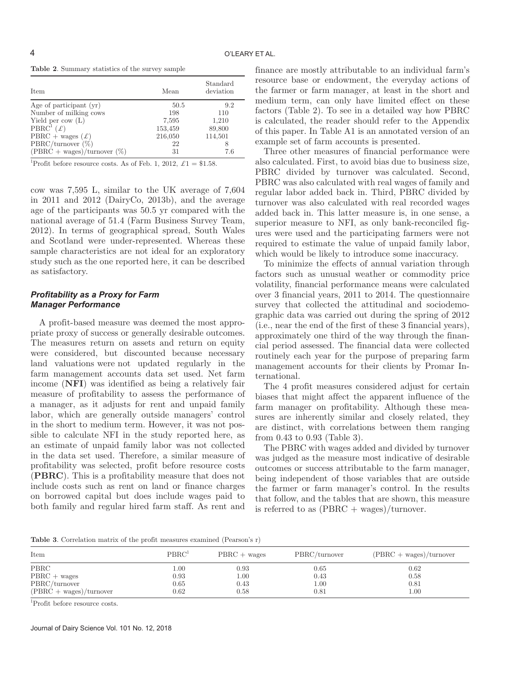**Table 2**. Summary statistics of the survey sample

| Item                           | Mean    | Standard<br>deviation |
|--------------------------------|---------|-----------------------|
| Age of participant (yr)        | 50.5    | 9.2                   |
| Number of milking cows         | 198     | 110                   |
| Yield per cow $(L)$            | 7,595   | 1,210                 |
| PBRC <sup>1</sup> $(\pounds)$  | 153,459 | 89,800                |
| PBRC + wages $(\pounds)$       | 216,050 | 114,501               |
| PBRC/turnover $(\%)$           | 22      | 8                     |
| $(PBRC + wages)/turnover (\%)$ | 31      | 7.6                   |

<sup>1</sup>Profit before resource costs. As of Feb. 1, 2012,  $\pounds 1 = \$1.58$ .

cow was 7,595 L, similar to the UK average of 7,604 in 2011 and 2012 (DairyCo, 2013b), and the average age of the participants was 50.5 yr compared with the national average of 51.4 (Farm Business Survey Team, 2012). In terms of geographical spread, South Wales and Scotland were under-represented. Whereas these sample characteristics are not ideal for an exploratory study such as the one reported here, it can be described as satisfactory.

# *Profitability as a Proxy for Farm Manager Performance*

A profit-based measure was deemed the most appropriate proxy of success or generally desirable outcomes. The measures return on assets and return on equity were considered, but discounted because necessary land valuations were not updated regularly in the farm management accounts data set used. Net farm income (**NFI**) was identified as being a relatively fair measure of profitability to assess the performance of a manager, as it adjusts for rent and unpaid family labor, which are generally outside managers' control in the short to medium term. However, it was not possible to calculate NFI in the study reported here, as an estimate of unpaid family labor was not collected in the data set used. Therefore, a similar measure of profitability was selected, profit before resource costs (**PBRC**). This is a profitability measure that does not include costs such as rent on land or finance charges on borrowed capital but does include wages paid to both family and regular hired farm staff. As rent and

finance are mostly attributable to an individual farm's resource base or endowment, the everyday actions of the farmer or farm manager, at least in the short and medium term, can only have limited effect on these factors (Table 2). To see in a detailed way how PBRC is calculated, the reader should refer to the Appendix of this paper. In Table A1 is an annotated version of an example set of farm accounts is presented.

Three other measures of financial performance were also calculated. First, to avoid bias due to business size, PBRC divided by turnover was calculated. Second, PBRC was also calculated with real wages of family and regular labor added back in. Third, PBRC divided by turnover was also calculated with real recorded wages added back in. This latter measure is, in one sense, a superior measure to NFI, as only bank-reconciled figures were used and the participating farmers were not required to estimate the value of unpaid family labor, which would be likely to introduce some inaccuracy.

To minimize the effects of annual variation through factors such as unusual weather or commodity price volatility, financial performance means were calculated over 3 financial years, 2011 to 2014. The questionnaire survey that collected the attitudinal and sociodemographic data was carried out during the spring of 2012 (i.e., near the end of the first of these 3 financial years), approximately one third of the way through the financial period assessed. The financial data were collected routinely each year for the purpose of preparing farm management accounts for their clients by Promar International.

The 4 profit measures considered adjust for certain biases that might affect the apparent influence of the farm manager on profitability. Although these measures are inherently similar and closely related, they are distinct, with correlations between them ranging from 0.43 to 0.93 (Table 3).

The PBRC with wages added and divided by turnover was judged as the measure most indicative of desirable outcomes or success attributable to the farm manager, being independent of those variables that are outside the farmer or farm manager's control. In the results that follow, and the tables that are shown, this measure is referred to as  $(PBRC + wages)/turnover$ .

**Table 3**. Correlation matrix of the profit measures examined (Pearson's r)

| Item                      | $\rm PBRC^{1}$ | $PBRC + wages$ | PBRC/turnover | $(PBRC + wages)/turnover$ |
|---------------------------|----------------|----------------|---------------|---------------------------|
| PBRC                      | $00 \ldots$    | 0.93           | $_{0.65}$     | $_{0.62}$                 |
| $PBRC + wages$            | $\rm 0.93$     | 1.00           | 0.43          | 0.58                      |
| PBRC/turnover             | $0.65\,$       | 0.43           | 00.1          | 0.81                      |
| $(PBRC + wages)/turnover$ | 0.62           | 0.58           | 0.81          | 1.00                      |

1 Profit before resource costs.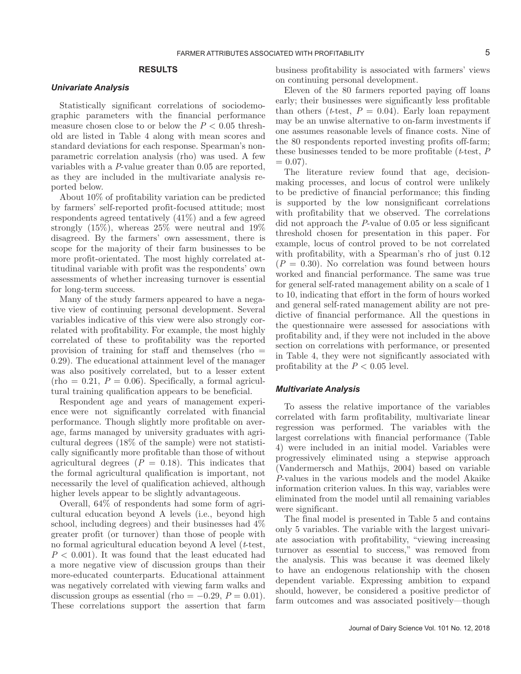# **RESULTS**

#### *Univariate Analysis*

Statistically significant correlations of sociodemographic parameters with the financial performance measure chosen close to or below the  $P < 0.05$  threshold are listed in Table 4 along with mean scores and standard deviations for each response. Spearman's nonparametric correlation analysis (rho) was used. A few variables with a *P*-value greater than 0.05 are reported, as they are included in the multivariate analysis reported below.

About 10% of profitability variation can be predicted by farmers' self-reported profit-focused attitude; most respondents agreed tentatively (41%) and a few agreed strongly (15%), whereas 25% were neutral and 19% disagreed. By the farmers' own assessment, there is scope for the majority of their farm businesses to be more profit-orientated. The most highly correlated attitudinal variable with profit was the respondents' own assessments of whether increasing turnover is essential for long-term success.

Many of the study farmers appeared to have a negative view of continuing personal development. Several variables indicative of this view were also strongly correlated with profitability. For example, the most highly correlated of these to profitability was the reported provision of training for staff and themselves (rho = 0.29). The educational attainment level of the manager was also positively correlated, but to a lesser extent  $(rho = 0.21, P = 0.06)$ . Specifically, a formal agricultural training qualification appears to be beneficial.

Respondent age and years of management experience were not significantly correlated with financial performance. Though slightly more profitable on average, farms managed by university graduates with agricultural degrees (18% of the sample) were not statistically significantly more profitable than those of without agricultural degrees  $(P = 0.18)$ . This indicates that the formal agricultural qualification is important, not necessarily the level of qualification achieved, although higher levels appear to be slightly advantageous.

Overall, 64% of respondents had some form of agricultural education beyond A levels (i.e., beyond high school, including degrees) and their businesses had 4% greater profit (or turnover) than those of people with no formal agricultural education beyond A level (*t*-test,  $P < 0.001$ ). It was found that the least educated had a more negative view of discussion groups than their more-educated counterparts. Educational attainment was negatively correlated with viewing farm walks and discussion groups as essential (rho =  $-0.29$ ,  $P = 0.01$ ). These correlations support the assertion that farm

business profitability is associated with farmers' views on continuing personal development.

Eleven of the 80 farmers reported paying off loans early; their businesses were significantly less profitable than others ( $t$ -test,  $P = 0.04$ ). Early loan repayment may be an unwise alternative to on-farm investments if one assumes reasonable levels of finance costs. Nine of the 80 respondents reported investing profits off-farm; these businesses tended to be more profitable (*t*-test, *P*  $= 0.07$ .

The literature review found that age, decisionmaking processes, and locus of control were unlikely to be predictive of financial performance; this finding is supported by the low nonsignificant correlations with profitability that we observed. The correlations did not approach the *P*-value of 0.05 or less significant threshold chosen for presentation in this paper. For example, locus of control proved to be not correlated with profitability, with a Spearman's rho of just 0.12  $(P = 0.30)$ . No correlation was found between hours worked and financial performance. The same was true for general self-rated management ability on a scale of 1 to 10, indicating that effort in the form of hours worked and general self-rated management ability are not predictive of financial performance. All the questions in the questionnaire were assessed for associations with profitability and, if they were not included in the above section on correlations with performance, or presented in Table 4, they were not significantly associated with profitability at the  $P < 0.05$  level.

#### *Multivariate Analysis*

To assess the relative importance of the variables correlated with farm profitability, multivariate linear regression was performed. The variables with the largest correlations with financial performance (Table 4) were included in an initial model. Variables were progressively eliminated using a stepwise approach (Vandermersch and Mathijs, 2004) based on variable *P*-values in the various models and the model Akaike information criterion values. In this way, variables were eliminated from the model until all remaining variables were significant.

The final model is presented in Table 5 and contains only 5 variables. The variable with the largest univariate association with profitability, "viewing increasing turnover as essential to success," was removed from the analysis. This was because it was deemed likely to have an endogenous relationship with the chosen dependent variable. Expressing ambition to expand should, however, be considered a positive predictor of farm outcomes and was associated positively—though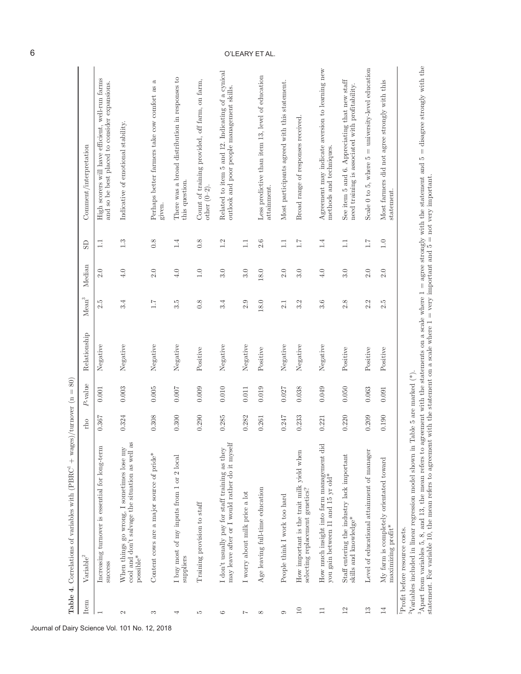| Item           | Variable <sup>2</sup>                                                                                              | $_{\rm rho}$ | $P$ -value | Relationship | $\mathbf{Mean}^3$  | Median | G                        | Comment/interpretation                                                                               |
|----------------|--------------------------------------------------------------------------------------------------------------------|--------------|------------|--------------|--------------------|--------|--------------------------|------------------------------------------------------------------------------------------------------|
|                | Increasing turnover is essential for long-term<br>success                                                          | 0.367        | 0.001      | Negative     | 2.5                | 2.0    | $\Box$                   | scorers will have efficient, well-run farms<br>and so be best placed to consider expansions.<br>High |
|                | cool and don't salvage the situation as well as<br>When things go wrong, I sometimes lose my<br>$_{\rm possible*}$ | 0.324        | 0.003      | Negative     | 3.4                | 4.0    | 1.3                      | Indicative of emotional stability.                                                                   |
|                | Content cows are a major source of pride*                                                                          | 0.308        | 0.005      | Negative     | $\overline{1}$ . T | 2.0    | 0.8                      | $\approx$<br>Perhaps better farmers take cow comfort as<br>given.                                    |
|                | I buy most of my inputs from 1 or 2 local<br>suppliers                                                             | 0.300        | 0.007      | Negative     | 3.5                | 4.0    | 1.4                      | There was a broad distribution in responses to<br>this question.                                     |
|                | Training provision to staff                                                                                        | 0.290        | 0.009      | Positive     | 0.8                | $1.0$  | 0.8                      | Count of training provided, off farm, on farm,<br>other $(0-2)$                                      |
|                | $\overline{ }$<br>may leave after or I would rather do it mysel<br>I don't usually pay for staff training as they  | 0.285        | 0.010      | Negative     | 3.4                | 3.0    | 1.2                      | Related to item 5 and 12. Indicating of a cynical<br>outlook and poor people management skills.      |
|                | I worry about milk price a lot                                                                                     | 0.282        | 0.011      | Negative     | 2.9                | 3.0    | $\Box$                   |                                                                                                      |
|                | Age leaving full-time education                                                                                    | 0.261        | 0.019      | Positive     | 18.0               | 18.0   | 2.6                      | Less predictive than item 13, level of education<br>attainment.                                      |
|                | People think I work too hard                                                                                       | 0.247        | 0.027      | Negative     | 2.1                | 2.0    | $\overline{\phantom{0}}$ | Most participants agreed with this statement.                                                        |
| $\Box$         | How important is the trait milk yield when<br>selecting replacement genetics?                                      | 0.233        | 0.038      | Negative     | 3.2                | 3.0    | $\overline{1}$ . T       | Broad range of responses received.                                                                   |
| $\Box$         | How much insight into farm management did<br>you gain between 11 and 15 yr old*                                    | 0.221        | 0.049      | Negative     | 3.6                | $4.0$  | 1.4                      | Agreement may indicate aversion to learning new<br>methods and techniques.                           |
| $\overline{2}$ | Staff entering the industry lack important<br>skills and knowledge*                                                | 0.220        | 0.050      | Positive     | 2.8                | 3.0    | $\Box$                   | See item 5 and 6. Appreciating that new staff<br>need training is associated with profitability.     |
| 13             | Level of educational attainment of manager                                                                         | 0.209        | 0.063      | Positive     | 2.2                | 2.0    | $\overline{1}$ . T       | Scale $0$ to 5, where $5 =$ university-level education                                               |
| $14$           | My farm is completely orientated toward<br>$maximizing$ $\operatorname{profit}^*$                                  | 0.190        | 0.091      | Positive     | ŗÖ.<br>$\sim$      | 2.0    | $1.0\,$                  | Most farmers did not agree strongly with this<br>statement                                           |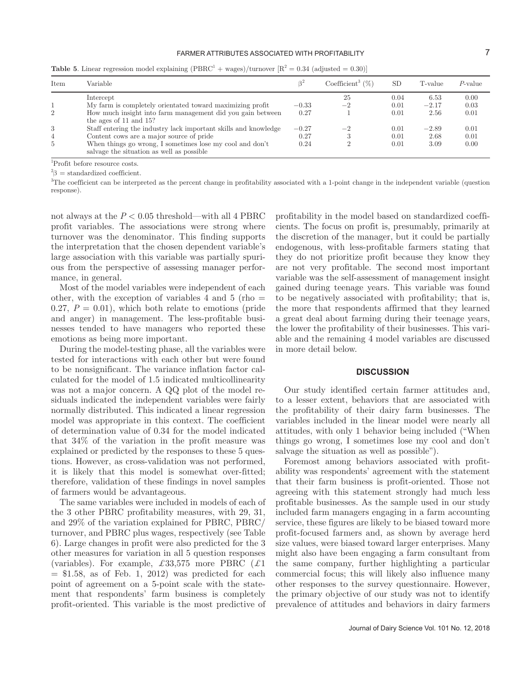## FARMER ATTRIBUTES ASSOCIATED WITH PROFITABILITY **THE SET ASSOCIATED** 7

| Item           | Variable                                                                                              | $\beta^2$ | Coefficient <sup>3</sup> $(\%)$ | SD   | T-value | $P$ -value |
|----------------|-------------------------------------------------------------------------------------------------------|-----------|---------------------------------|------|---------|------------|
|                | Intercept                                                                                             |           | 25                              | 0.04 | 6.53    | 0.00       |
|                | My farm is completely orientated toward maximizing profit                                             | $-0.33$   | $-2$                            | 0.01 | $-2.17$ | 0.03       |
| $\overline{2}$ | How much insight into farm management did you gain between<br>the ages of 11 and 15?                  | 0.27      |                                 | 0.01 | 2.56    | 0.01       |
| 3              | Staff entering the industry lack important skills and knowledge                                       | $-0.27$   | $-2$                            | 0.01 | $-2.89$ | 0.01       |
| 4              | Content cows are a major source of pride                                                              | 0.27      |                                 | 0.01 | 2.68    | 0.01       |
| 5              | When things go wrong, I sometimes lose my cool and don't<br>salvage the situation as well as possible | 0.24      |                                 | 0.01 | 3.09    | 0.00       |

**Table 5**. Linear regression model explaining  $(PBRC^1 + wages)/turnover [R^2 = 0.34$  (adjusted = 0.30)]

1 Profit before resource costs.

 ${}^{2}\beta$  = standardized coefficient.

<sup>3</sup>The coefficient can be interpreted as the percent change in profitability associated with a 1-point change in the independent variable (question response).

not always at the  $P < 0.05$  threshold—with all 4 PBRC profit variables. The associations were strong where turnover was the denominator. This finding supports the interpretation that the chosen dependent variable's large association with this variable was partially spurious from the perspective of assessing manager performance, in general.

Most of the model variables were independent of each other, with the exception of variables  $4$  and  $5$  (rho  $=$ 0.27,  $P = 0.01$ ), which both relate to emotions (pride and anger) in management. The less-profitable businesses tended to have managers who reported these emotions as being more important.

During the model-testing phase, all the variables were tested for interactions with each other but were found to be nonsignificant. The variance inflation factor calculated for the model of 1.5 indicated multicollinearity was not a major concern. A QQ plot of the model residuals indicated the independent variables were fairly normally distributed. This indicated a linear regression model was appropriate in this context. The coefficient of determination value of 0.34 for the model indicated that 34% of the variation in the profit measure was explained or predicted by the responses to these 5 questions. However, as cross-validation was not performed, it is likely that this model is somewhat over-fitted; therefore, validation of these findings in novel samples of farmers would be advantageous.

The same variables were included in models of each of the 3 other PBRC profitability measures, with 29, 31, and 29% of the variation explained for PBRC, PBRC/ turnover, and PBRC plus wages, respectively (see Table 6). Large changes in profit were also predicted for the 3 other measures for variation in all 5 question responses (variables). For example,  $\pounds 33.575$  more PBRC  $(\pounds 1)$  $=$  \$1.58, as of Feb. 1, 2012) was predicted for each point of agreement on a 5-point scale with the statement that respondents' farm business is completely profit-oriented. This variable is the most predictive of profitability in the model based on standardized coefficients. The focus on profit is, presumably, primarily at the discretion of the manager, but it could be partially endogenous, with less-profitable farmers stating that they do not prioritize profit because they know they are not very profitable. The second most important variable was the self-assessment of management insight gained during teenage years. This variable was found to be negatively associated with profitability; that is, the more that respondents affirmed that they learned a great deal about farming during their teenage years, the lower the profitability of their businesses. This variable and the remaining 4 model variables are discussed in more detail below.

### **DISCUSSION**

Our study identified certain farmer attitudes and, to a lesser extent, behaviors that are associated with the profitability of their dairy farm businesses. The variables included in the linear model were nearly all attitudes, with only 1 behavior being included ("When things go wrong, I sometimes lose my cool and don't salvage the situation as well as possible").

Foremost among behaviors associated with profitability was respondents' agreement with the statement that their farm business is profit-oriented. Those not agreeing with this statement strongly had much less profitable businesses. As the sample used in our study included farm managers engaging in a farm accounting service, these figures are likely to be biased toward more profit-focused farmers and, as shown by average herd size values, were biased toward larger enterprises. Many might also have been engaging a farm consultant from the same company, further highlighting a particular commercial focus; this will likely also influence many other responses to the survey questionnaire. However, the primary objective of our study was not to identify prevalence of attitudes and behaviors in dairy farmers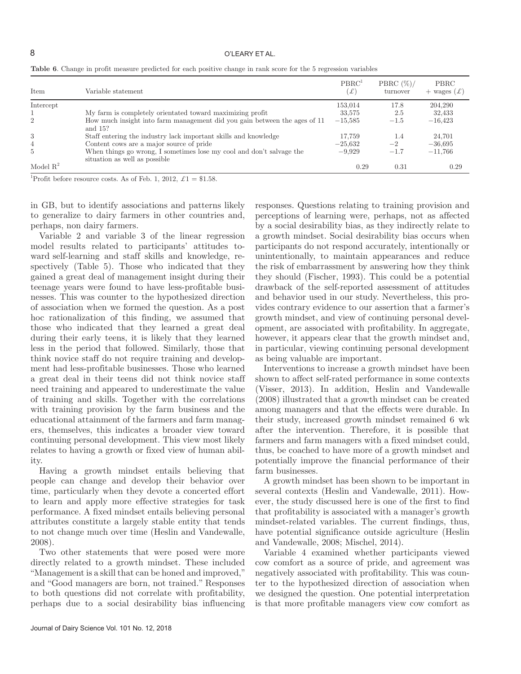# 8 O'LEARY ET AL.

| Item           | Variable statement                                                                                    | PBRC <sup>1</sup><br>£ | PBRC $(\%)$<br>turnover | <b>PBRC</b><br>$+$ wages $(\pounds)$ |
|----------------|-------------------------------------------------------------------------------------------------------|------------------------|-------------------------|--------------------------------------|
| Intercept      |                                                                                                       | 153,014                | 17.8                    | 204,290                              |
|                | My farm is completely orientated toward maximizing profit                                             | 33,575                 | 2.5                     | 32.433                               |
| $\overline{2}$ | How much insight into farm management did you gain between the ages of 11<br>and $15?$                | $-15,585$              | $-1.5$                  | $-16,423$                            |
| 3              | Staff entering the industry lack important skills and knowledge                                       | 17.759                 | 1.4                     | 24.701                               |
| $\overline{4}$ | Content cows are a major source of pride                                                              | $-25,632$              | $-2$                    | $-36.695$                            |
| $\frac{5}{2}$  | When things go wrong, I sometimes lose my cool and don't salvage the<br>situation as well as possible | $-9,929$               | $-1.7$                  | $-11,766$                            |
| Model $R^2$    |                                                                                                       | 0.29                   | 0.31                    | 0.29                                 |

**Table 6**. Change in profit measure predicted for each positive change in rank score for the 5 regression variables

<sup>1</sup>Profit before resource costs. As of Feb. 1, 2012,  $\pounds 1 = \$1.58$ .

in GB, but to identify associations and patterns likely to generalize to dairy farmers in other countries and, perhaps, non dairy farmers.

Variable 2 and variable 3 of the linear regression model results related to participants' attitudes toward self-learning and staff skills and knowledge, respectively (Table 5). Those who indicated that they gained a great deal of management insight during their teenage years were found to have less-profitable businesses. This was counter to the hypothesized direction of association when we formed the question. As a post hoc rationalization of this finding, we assumed that those who indicated that they learned a great deal during their early teens, it is likely that they learned less in the period that followed. Similarly, those that think novice staff do not require training and development had less-profitable businesses. Those who learned a great deal in their teens did not think novice staff need training and appeared to underestimate the value of training and skills. Together with the correlations with training provision by the farm business and the educational attainment of the farmers and farm managers, themselves, this indicates a broader view toward continuing personal development. This view most likely relates to having a growth or fixed view of human ability.

Having a growth mindset entails believing that people can change and develop their behavior over time, particularly when they devote a concerted effort to learn and apply more effective strategies for task performance. A fixed mindset entails believing personal attributes constitute a largely stable entity that tends to not change much over time (Heslin and Vandewalle, 2008).

Two other statements that were posed were more directly related to a growth mindset. These included "Management is a skill that can be honed and improved," and "Good managers are born, not trained." Responses to both questions did not correlate with profitability, perhaps due to a social desirability bias influencing responses. Questions relating to training provision and perceptions of learning were, perhaps, not as affected by a social desirability bias, as they indirectly relate to a growth mindset. Social desirability bias occurs when participants do not respond accurately, intentionally or unintentionally, to maintain appearances and reduce the risk of embarrassment by answering how they think they should (Fischer, 1993). This could be a potential drawback of the self-reported assessment of attitudes and behavior used in our study. Nevertheless, this provides contrary evidence to our assertion that a farmer's growth mindset, and view of continuing personal development, are associated with profitability. In aggregate, however, it appears clear that the growth mindset and, in particular, viewing continuing personal development as being valuable are important.

Interventions to increase a growth mindset have been shown to affect self-rated performance in some contexts (Visser, 2013). In addition, Heslin and Vandewalle (2008) illustrated that a growth mindset can be created among managers and that the effects were durable. In their study, increased growth mindset remained 6 wk after the intervention. Therefore, it is possible that farmers and farm managers with a fixed mindset could, thus, be coached to have more of a growth mindset and potentially improve the financial performance of their farm businesses.

A growth mindset has been shown to be important in several contexts (Heslin and Vandewalle, 2011). However, the study discussed here is one of the first to find that profitability is associated with a manager's growth mindset-related variables. The current findings, thus, have potential significance outside agriculture (Heslin and Vandewalle, 2008; Mischel, 2014).

Variable 4 examined whether participants viewed cow comfort as a source of pride, and agreement was negatively associated with profitability. This was counter to the hypothesized direction of association when we designed the question. One potential interpretation is that more profitable managers view cow comfort as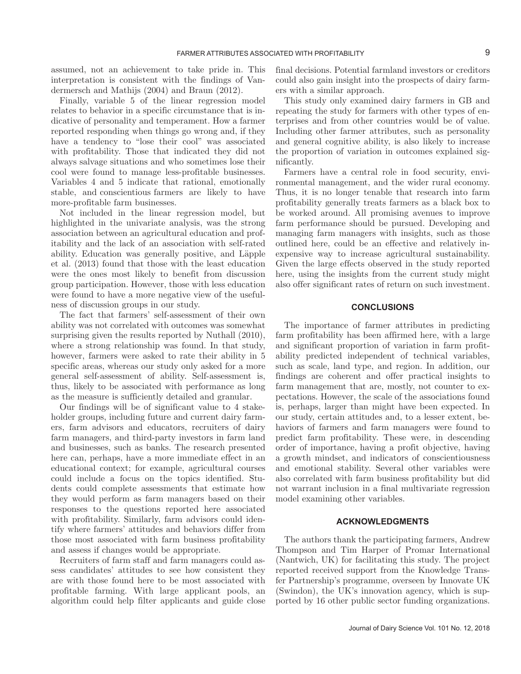assumed, not an achievement to take pride in. This interpretation is consistent with the findings of Vandermersch and Mathijs (2004) and Braun (2012).

Finally, variable 5 of the linear regression model relates to behavior in a specific circumstance that is indicative of personality and temperament. How a farmer reported responding when things go wrong and, if they have a tendency to "lose their cool" was associated with profitability. Those that indicated they did not always salvage situations and who sometimes lose their cool were found to manage less-profitable businesses. Variables 4 and 5 indicate that rational, emotionally stable, and conscientious farmers are likely to have more-profitable farm businesses.

Not included in the linear regression model, but highlighted in the univariate analysis, was the strong association between an agricultural education and profitability and the lack of an association with self-rated ability. Education was generally positive, and Läpple et al. (2013) found that those with the least education were the ones most likely to benefit from discussion group participation. However, those with less education were found to have a more negative view of the usefulness of discussion groups in our study.

The fact that farmers' self-assessment of their own ability was not correlated with outcomes was somewhat surprising given the results reported by Nuthall (2010), where a strong relationship was found. In that study, however, farmers were asked to rate their ability in 5 specific areas, whereas our study only asked for a more general self-assessment of ability. Self-assessment is, thus, likely to be associated with performance as long as the measure is sufficiently detailed and granular.

Our findings will be of significant value to 4 stakeholder groups, including future and current dairy farmers, farm advisors and educators, recruiters of dairy farm managers, and third-party investors in farm land and businesses, such as banks. The research presented here can, perhaps, have a more immediate effect in an educational context; for example, agricultural courses could include a focus on the topics identified. Students could complete assessments that estimate how they would perform as farm managers based on their responses to the questions reported here associated with profitability. Similarly, farm advisors could identify where farmers' attitudes and behaviors differ from those most associated with farm business profitability and assess if changes would be appropriate.

Recruiters of farm staff and farm managers could assess candidates' attitudes to see how consistent they are with those found here to be most associated with profitable farming. With large applicant pools, an algorithm could help filter applicants and guide close final decisions. Potential farmland investors or creditors could also gain insight into the prospects of dairy farmers with a similar approach.

This study only examined dairy farmers in GB and repeating the study for farmers with other types of enterprises and from other countries would be of value. Including other farmer attributes, such as personality and general cognitive ability, is also likely to increase the proportion of variation in outcomes explained significantly.

Farmers have a central role in food security, environmental management, and the wider rural economy. Thus, it is no longer tenable that research into farm profitability generally treats farmers as a black box to be worked around. All promising avenues to improve farm performance should be pursued. Developing and managing farm managers with insights, such as those outlined here, could be an effective and relatively inexpensive way to increase agricultural sustainability. Given the large effects observed in the study reported here, using the insights from the current study might also offer significant rates of return on such investment.

### **CONCLUSIONS**

The importance of farmer attributes in predicting farm profitability has been affirmed here, with a large and significant proportion of variation in farm profitability predicted independent of technical variables, such as scale, land type, and region. In addition, our findings are coherent and offer practical insights to farm management that are, mostly, not counter to expectations. However, the scale of the associations found is, perhaps, larger than might have been expected. In our study, certain attitudes and, to a lesser extent, behaviors of farmers and farm managers were found to predict farm profitability. These were, in descending order of importance, having a profit objective, having a growth mindset, and indicators of conscientiousness and emotional stability. Several other variables were also correlated with farm business profitability but did not warrant inclusion in a final multivariate regression model examining other variables.

# **ACKNOWLEDGMENTS**

The authors thank the participating farmers, Andrew Thompson and Tim Harper of Promar International (Nantwich, UK) for facilitating this study. The project reported received support from the Knowledge Transfer Partnership's programme, overseen by Innovate UK (Swindon), the UK's innovation agency, which is supported by 16 other public sector funding organizations.